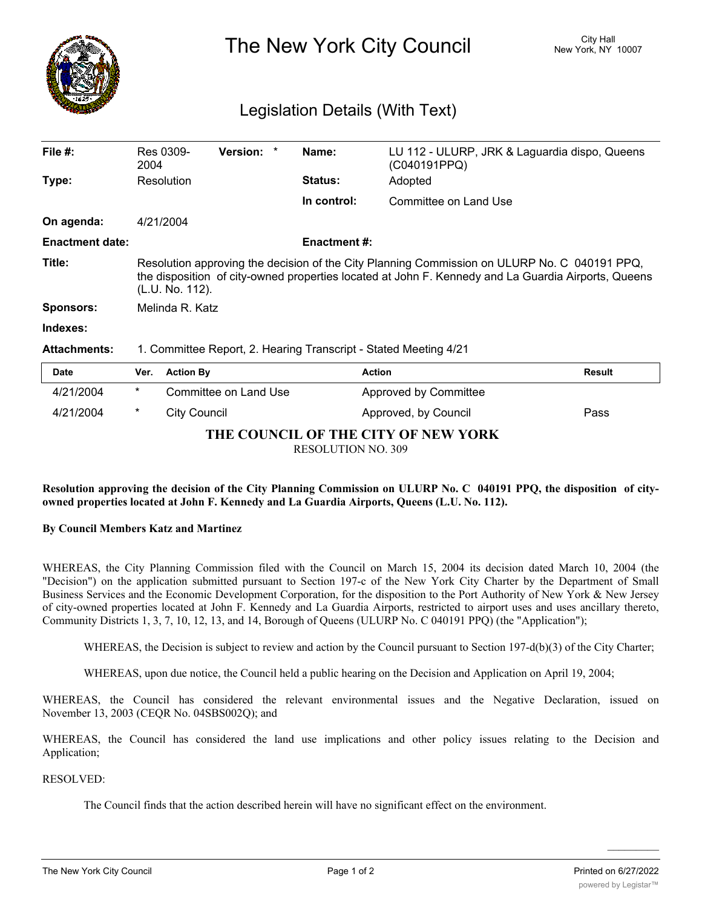

## The New York City Council New York, NY 10007

## Legislation Details (With Text)

| File $#$ :             | Res 0309-<br>2004                                                                                                                                                                                                      | <b>Version:</b>       | Name:              | LU 112 - ULURP, JRK & Laguardia dispo, Queens<br>(C040191PPQ) |        |  |  |
|------------------------|------------------------------------------------------------------------------------------------------------------------------------------------------------------------------------------------------------------------|-----------------------|--------------------|---------------------------------------------------------------|--------|--|--|
| Type:                  | Resolution                                                                                                                                                                                                             |                       | <b>Status:</b>     | Adopted                                                       |        |  |  |
|                        |                                                                                                                                                                                                                        |                       | In control:        | Committee on Land Use                                         |        |  |  |
| On agenda:             | 4/21/2004                                                                                                                                                                                                              |                       |                    |                                                               |        |  |  |
| <b>Enactment date:</b> |                                                                                                                                                                                                                        |                       | <b>Enactment#:</b> |                                                               |        |  |  |
| Title:                 | Resolution approving the decision of the City Planning Commission on ULURP No. C 040191 PPQ,<br>the disposition of city-owned properties located at John F. Kennedy and La Guardia Airports, Queens<br>(L.U. No. 112). |                       |                    |                                                               |        |  |  |
| <b>Sponsors:</b>       | Melinda R. Katz                                                                                                                                                                                                        |                       |                    |                                                               |        |  |  |
| Indexes:               |                                                                                                                                                                                                                        |                       |                    |                                                               |        |  |  |
| <b>Attachments:</b>    | 1. Committee Report, 2. Hearing Transcript - Stated Meeting 4/21                                                                                                                                                       |                       |                    |                                                               |        |  |  |
| <b>Date</b>            | <b>Action By</b><br>Ver.                                                                                                                                                                                               |                       |                    | <b>Action</b>                                                 | Result |  |  |
| 4/21/2004              | $\ast$                                                                                                                                                                                                                 | Committee on Land Use |                    | Approved by Committee                                         |        |  |  |

| 4/21/2004 | City Council                        | Approved, by Council | Pass |  |  |
|-----------|-------------------------------------|----------------------|------|--|--|
|           | THE COUNCIL OF THE CITY OF NEW YORK |                      |      |  |  |

RESOLUTION NO. 309

Resolution approving the decision of the City Planning Commission on ULURP No. C 040191 PPQ, the disposition of city**owned properties located at John F. Kennedy and La Guardia Airports, Queens (L.U. No. 112).**

**By Council Members Katz and Martinez**

WHEREAS, the City Planning Commission filed with the Council on March 15, 2004 its decision dated March 10, 2004 (the "Decision") on the application submitted pursuant to Section 197-c of the New York City Charter by the Department of Small Business Services and the Economic Development Corporation, for the disposition to the Port Authority of New York & New Jersey of city-owned properties located at John F. Kennedy and La Guardia Airports, restricted to airport uses and uses ancillary thereto, Community Districts 1, 3, 7, 10, 12, 13, and 14, Borough of Queens (ULURP No. C 040191 PPQ) (the "Application");

WHEREAS, the Decision is subject to review and action by the Council pursuant to Section 197-d(b)(3) of the City Charter;

WHEREAS, upon due notice, the Council held a public hearing on the Decision and Application on April 19, 2004;

WHEREAS, the Council has considered the relevant environmental issues and the Negative Declaration, issued on November 13, 2003 (CEQR No. 04SBS002Q); and

WHEREAS, the Council has considered the land use implications and other policy issues relating to the Decision and Application;

RESOLVED:

The Council finds that the action described herein will have no significant effect on the environment.

 $\frac{1}{2}$